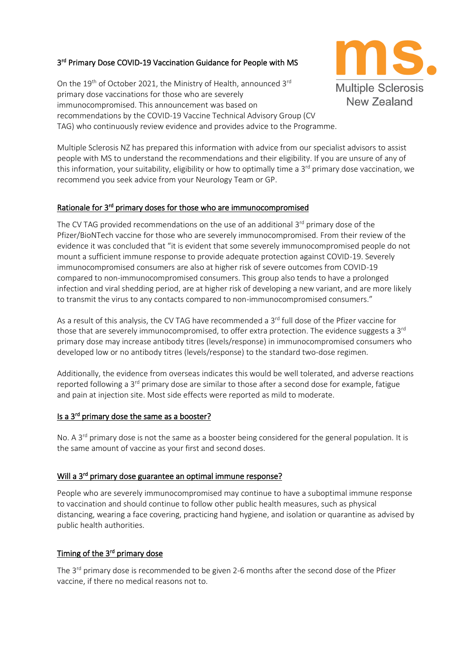# 3<sup>rd</sup> Primary Dose COVID-19 Vaccination Guidance for People with MS

On the 19<sup>th</sup> of October 2021, the Ministry of Health, announced 3<sup>rd</sup> primary dose vaccinations for those who are severely immunocompromised. This announcement was based on recommendations by the COVID-19 Vaccine Technical Advisory Group (CV TAG) who continuously review evidence and provides advice to the Programme.

Multiple Sclerosis NZ has prepared this information with advice from our specialist advisors to assist people with MS to understand the recommendations and their eligibility. If you are unsure of any of this information, your suitability, eligibility or how to optimally time a 3<sup>rd</sup> primary dose vaccination, we recommend you seek advice from your Neurology Team or GP.

**Multiple Sclerosis** New Zealand

## Rationale for 3<sup>rd</sup> primary doses for those who are immunocompromised

The CV TAG provided recommendations on the use of an additional 3<sup>rd</sup> primary dose of the Pfizer/BioNTech vaccine for those who are severely immunocompromised. From their review of the evidence it was concluded that "it is evident that some severely immunocompromised people do not mount a sufficient immune response to provide adequate protection against COVID-19. Severely immunocompromised consumers are also at higher risk of severe outcomes from COVID-19 compared to non-immunocompromised consumers. This group also tends to have a prolonged infection and viral shedding period, are at higher risk of developing a new variant, and are more likely to transmit the virus to any contacts compared to non-immunocompromised consumers."

As a result of this analysis, the CV TAG have recommended a 3<sup>rd</sup> full dose of the Pfizer vaccine for those that are severely immunocompromised, to offer extra protection. The evidence suggests a 3<sup>rd</sup> primary dose may increase antibody titres (levels/response) in immunocompromised consumers who developed low or no antibody titres (levels/response) to the standard two-dose regimen.

Additionally, the evidence from overseas indicates this would be well tolerated, and adverse reactions reported following a 3<sup>rd</sup> primary dose are similar to those after a second dose for example, fatigue and pain at injection site. Most side effects were reported as mild to moderate.

### Is a 3<sup>rd</sup> primary dose the same as a booster?

No. A 3<sup>rd</sup> primary dose is not the same as a booster being considered for the general population. It is the same amount of vaccine as your first and second doses.

## Will a 3<sup>rd</sup> primary dose guarantee an optimal immune response?

People who are severely immunocompromised may continue to have a suboptimal immune response to vaccination and should continue to follow other public health measures, such as physical distancing, wearing a face covering, practicing hand hygiene, and isolation or quarantine as advised by public health authorities.

### Timing of the 3<sup>rd</sup> primary dose

The 3<sup>rd</sup> primary dose is recommended to be given 2-6 months after the second dose of the Pfizer vaccine, if there no medical reasons not to.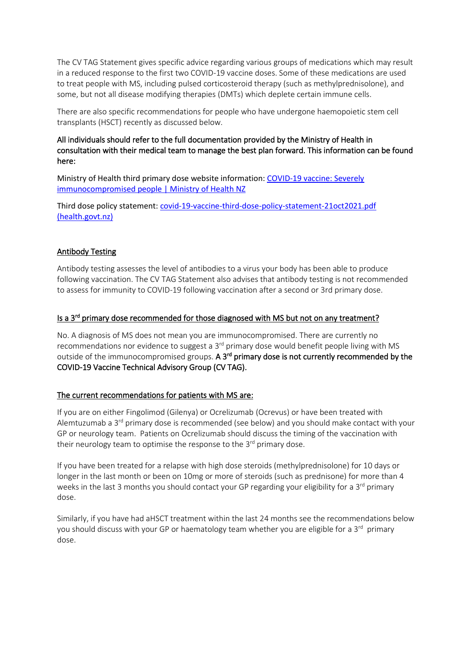The CV TAG Statement gives specific advice regarding various groups of medications which may result in a reduced response to the first two COVID-19 vaccine doses. Some of these medications are used to treat people with MS, including pulsed corticosteroid therapy (such as methylprednisolone), and some, but not all disease modifying therapies (DMTs) which deplete certain immune cells.

There are also specific recommendations for people who have undergone haemopoietic stem cell transplants (HSCT) recently as discussed below.

### All individuals should refer to the full documentation provided by the Ministry of Health in consultation with their medical team to manage the best plan forward. This information can be found here:

Ministry of Health third primary dose website information: [COVID-19 vaccine: Severely](https://www.health.govt.nz/our-work/diseases-and-conditions/covid-19-novel-coronavirus/covid-19-vaccines/covid-19-vaccine-health-advice/covid-19-vaccine-severely-immunocompromised-people)  [immunocompromised people | Ministry of Health NZ](https://www.health.govt.nz/our-work/diseases-and-conditions/covid-19-novel-coronavirus/covid-19-vaccines/covid-19-vaccine-health-advice/covid-19-vaccine-severely-immunocompromised-people)

Third dose policy statement: [covid-19-vaccine-third-dose-policy-statement-21oct2021.pdf](https://www.health.govt.nz/system/files/documents/pages/covid-19-vaccine-third-dose-policy-statement-21oct2021.pdf)  [\(health.govt.nz\)](https://www.health.govt.nz/system/files/documents/pages/covid-19-vaccine-third-dose-policy-statement-21oct2021.pdf)

### Antibody Testing

Antibody testing assesses the level of antibodies to a virus your body has been able to produce following vaccination. The CV TAG Statement also advises that antibody testing is not recommended to assess for immunity to COVID-19 following vaccination after a second or 3rd primary dose.

### Is a 3<sup>rd</sup> primary dose recommended for those diagnosed with MS but not on any treatment?

No. A diagnosis of MS does not mean you are immunocompromised. There are currently no recommendations nor evidence to suggest a 3<sup>rd</sup> primary dose would benefit people living with MS outside of the immunocompromised groups. A 3<sup>rd</sup> primary dose is not currently recommended by the COVID-19 Vaccine Technical Advisory Group (CV TAG).

#### The current recommendations for patients with MS are:

If you are on either Fingolimod (Gilenya) or Ocrelizumab (Ocrevus) or have been treated with Alemtuzumab a  $3<sup>rd</sup>$  primary dose is recommended (see below) and you should make contact with your GP or neurology team. Patients on Ocrelizumab should discuss the timing of the vaccination with their neurology team to optimise the response to the 3<sup>rd</sup> primary dose.

If you have been treated for a relapse with high dose steroids (methylprednisolone) for 10 days or longer in the last month or been on 10mg or more of steroids (such as prednisone) for more than 4 weeks in the last 3 months you should contact your GP regarding your eligibility for a  $3<sup>rd</sup>$  primary dose.

Similarly, if you have had aHSCT treatment within the last 24 months see the recommendations below you should discuss with your GP or haematology team whether you are eligible for a  $3<sup>rd</sup>$  primary dose.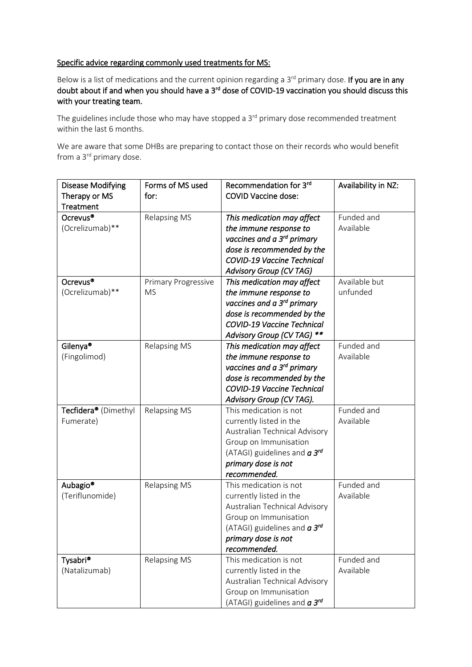### Specific advice regarding commonly used treatments for MS:

Below is a list of medications and the current opinion regarding a 3<sup>rd</sup> primary dose. If you are in any doubt about if and when you should have a 3<sup>rd</sup> dose of COVID-19 vaccination you should discuss this with your treating team.

The guidelines include those who may have stopped a 3<sup>rd</sup> primary dose recommended treatment within the last 6 months.

We are aware that some DHBs are preparing to contact those on their records who would benefit from a 3<sup>rd</sup> primary dose.

| <b>Disease Modifying</b>         | Forms of MS used           | Recommendation for 3rd                 | Availability in NZ: |
|----------------------------------|----------------------------|----------------------------------------|---------------------|
| Therapy or MS                    | for:                       | <b>COVID Vaccine dose:</b>             |                     |
| Treatment                        |                            |                                        |                     |
| Ocrevus <sup>®</sup>             | <b>Relapsing MS</b>        | This medication may affect             | Funded and          |
| (Ocrelizumab)**                  |                            | the immune response to                 | Available           |
|                                  |                            | vaccines and a 3 <sup>rd</sup> primary |                     |
|                                  |                            | dose is recommended by the             |                     |
|                                  |                            | <b>COVID-19 Vaccine Technical</b>      |                     |
|                                  |                            | Advisory Group (CV TAG)                |                     |
| Ocrevus <sup>®</sup>             | <b>Primary Progressive</b> | This medication may affect             | Available but       |
| (Ocrelizumab)**                  | <b>MS</b>                  | the immune response to                 | unfunded            |
|                                  |                            | vaccines and a 3 <sup>rd</sup> primary |                     |
|                                  |                            | dose is recommended by the             |                     |
|                                  |                            | <b>COVID-19 Vaccine Technical</b>      |                     |
|                                  |                            | Advisory Group (CV TAG) **             |                     |
| Gilenya <sup>®</sup>             | <b>Relapsing MS</b>        | This medication may affect             | Funded and          |
| (Fingolimod)                     |                            | the immune response to                 | Available           |
|                                  |                            | vaccines and a 3 <sup>rd</sup> primary |                     |
|                                  |                            | dose is recommended by the             |                     |
|                                  |                            | <b>COVID-19 Vaccine Technical</b>      |                     |
|                                  |                            | Advisory Group (CV TAG).               |                     |
| Tecfidera <sup>®</sup> (Dimethyl | <b>Relapsing MS</b>        | This medication is not                 | Funded and          |
| Fumerate)                        |                            | currently listed in the                | Available           |
|                                  |                            | Australian Technical Advisory          |                     |
|                                  |                            | Group on Immunisation                  |                     |
|                                  |                            | (ATAGI) guidelines and $a 3^{rd}$      |                     |
|                                  |                            | primary dose is not                    |                     |
|                                  |                            | recommended.                           |                     |
| Aubagio <sup>®</sup>             | <b>Relapsing MS</b>        | This medication is not                 | Funded and          |
| (Teriflunomide)                  |                            | currently listed in the                | Available           |
|                                  |                            | Australian Technical Advisory          |                     |
|                                  |                            | Group on Immunisation                  |                     |
|                                  |                            | (ATAGI) guidelines and $a 3^{rd}$      |                     |
|                                  |                            | primary dose is not                    |                     |
|                                  |                            | recommended.                           |                     |
| Tysabri <sup>®</sup>             | <b>Relapsing MS</b>        | This medication is not                 | Funded and          |
| (Natalizumab)                    |                            | currently listed in the                | Available           |
|                                  |                            | Australian Technical Advisory          |                     |
|                                  |                            | Group on Immunisation                  |                     |
|                                  |                            | (ATAGI) guidelines and $a 3^{rd}$      |                     |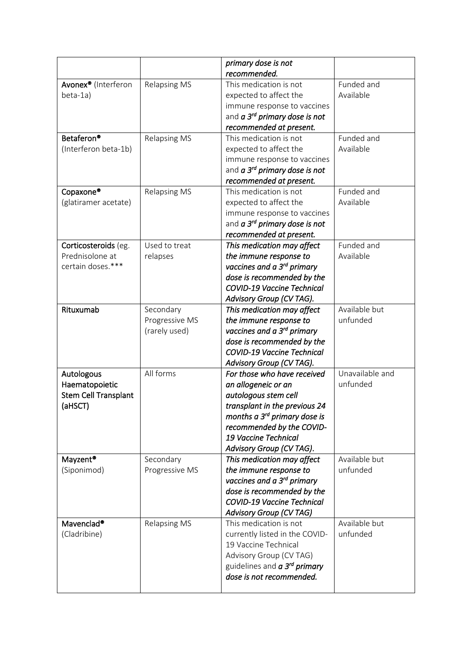|                                 |                     | primary dose is not                                                        |                 |
|---------------------------------|---------------------|----------------------------------------------------------------------------|-----------------|
|                                 |                     | recommended.                                                               |                 |
| Avonex <sup>®</sup> (Interferon | <b>Relapsing MS</b> | This medication is not                                                     | Funded and      |
| beta-1a)                        |                     | expected to affect the                                                     | Available       |
|                                 |                     | immune response to vaccines                                                |                 |
|                                 |                     | and <i>a</i> 3 <sup>rd</sup> primary dose is not                           |                 |
|                                 |                     | recommended at present.                                                    |                 |
| Betaferon <sup>®</sup>          | <b>Relapsing MS</b> | This medication is not                                                     | Funded and      |
| (Interferon beta-1b)            |                     | expected to affect the                                                     | Available       |
|                                 |                     | immune response to vaccines                                                |                 |
|                                 |                     | and <i>a</i> 3 <sup>rd</sup> primary dose is not                           |                 |
|                                 |                     | recommended at present.                                                    |                 |
| Copaxone®                       | <b>Relapsing MS</b> | This medication is not                                                     | Funded and      |
| (glatiramer acetate)            |                     | expected to affect the                                                     | Available       |
|                                 |                     | immune response to vaccines                                                |                 |
|                                 |                     | and <i>a</i> 3 <sup>rd</sup> primary dose is not                           |                 |
|                                 |                     | recommended at present.                                                    |                 |
| Corticosteroids (eg.            | Used to treat       | This medication may affect                                                 | Funded and      |
| Prednisolone at                 | relapses            | the immune response to                                                     | Available       |
| certain doses.***               |                     | vaccines and a 3 <sup>rd</sup> primary                                     |                 |
|                                 |                     | dose is recommended by the                                                 |                 |
|                                 |                     | <b>COVID-19 Vaccine Technical</b>                                          |                 |
|                                 |                     | Advisory Group (CV TAG).                                                   |                 |
| Rituxumab                       | Secondary           | This medication may affect                                                 | Available but   |
|                                 | Progressive MS      | the immune response to                                                     | unfunded        |
|                                 | (rarely used)       | vaccines and a 3 <sup>rd</sup> primary                                     |                 |
|                                 |                     | dose is recommended by the                                                 |                 |
|                                 |                     | <b>COVID-19 Vaccine Technical</b>                                          |                 |
|                                 |                     | Advisory Group (CV TAG).                                                   |                 |
| Autologous                      | All forms           | For those who have received                                                | Unavailable and |
| Haematopoietic                  |                     | an allogeneic or an                                                        | unfunded        |
| <b>Stem Cell Transplant</b>     |                     | autologous stem cell                                                       |                 |
| (aHSCT)                         |                     | transplant in the previous 24                                              |                 |
|                                 |                     | months a 3 <sup>rd</sup> primary dose is                                   |                 |
|                                 |                     | recommended by the COVID-                                                  |                 |
|                                 |                     | 19 Vaccine Technical                                                       |                 |
|                                 |                     | Advisory Group (CV TAG).                                                   |                 |
| Mayzent <sup>®</sup>            | Secondary           | This medication may affect                                                 | Available but   |
| (Siponimod)                     | Progressive MS      | the immune response to                                                     | unfunded        |
|                                 |                     | vaccines and a 3 <sup>rd</sup> primary                                     |                 |
|                                 |                     | dose is recommended by the                                                 |                 |
|                                 |                     | <b>COVID-19 Vaccine Technical</b>                                          |                 |
|                                 |                     | <b>Advisory Group (CV TAG)</b>                                             |                 |
| Mavenclad <sup>®</sup>          | <b>Relapsing MS</b> | This medication is not                                                     | Available but   |
| (Cladribine)                    |                     | currently listed in the COVID-                                             | unfunded        |
|                                 |                     | 19 Vaccine Technical                                                       |                 |
|                                 |                     | Advisory Group (CV TAG)                                                    |                 |
|                                 |                     | guidelines and <b>a 3<sup>rd</sup> primary</b><br>dose is not recommended. |                 |
|                                 |                     |                                                                            |                 |
|                                 |                     |                                                                            |                 |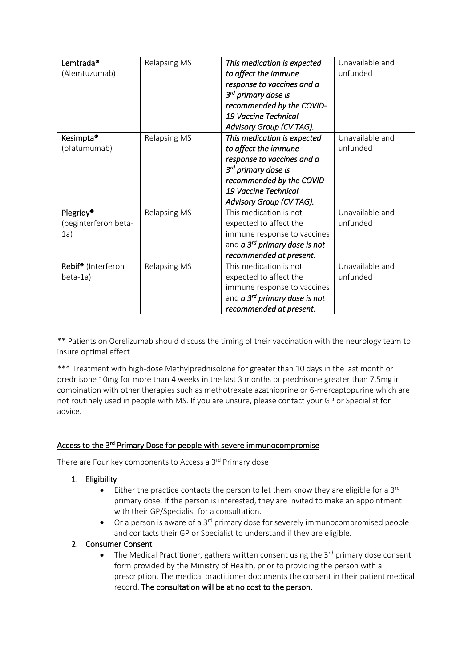| Lemtrada <sup>®</sup>          | <b>Relapsing MS</b> | This medication is expected                      | Unavailable and |
|--------------------------------|---------------------|--------------------------------------------------|-----------------|
| (Alemtuzumab)                  |                     | to affect the immune                             | unfunded        |
|                                |                     | response to vaccines and a                       |                 |
|                                |                     | 3 <sup>rd</sup> primary dose is                  |                 |
|                                |                     | recommended by the COVID-                        |                 |
|                                |                     | 19 Vaccine Technical                             |                 |
|                                |                     | Advisory Group (CV TAG).                         |                 |
| Kesimpta <sup>®</sup>          | <b>Relapsing MS</b> | This medication is expected                      | Unavailable and |
| (ofatumumab)                   |                     | to affect the immune                             | unfunded        |
|                                |                     | response to vaccines and a                       |                 |
|                                |                     | 3 <sup>rd</sup> primary dose is                  |                 |
|                                |                     | recommended by the COVID-                        |                 |
|                                |                     | 19 Vaccine Technical                             |                 |
|                                |                     | Advisory Group (CV TAG).                         |                 |
| Plegridy <sup>®</sup>          | <b>Relapsing MS</b> | This medication is not                           | Unavailable and |
| (peginterferon beta-           |                     | expected to affect the                           | unfunded        |
| 1a)                            |                     | immune response to vaccines                      |                 |
|                                |                     | and <i>a</i> 3 <sup>rd</sup> primary dose is not |                 |
|                                |                     | recommended at present.                          |                 |
| Rebif <sup>®</sup> (Interferon | <b>Relapsing MS</b> | This medication is not                           | Unavailable and |
| beta-1a)                       |                     | expected to affect the                           | unfunded        |
|                                |                     | immune response to vaccines                      |                 |
|                                |                     | and <i>a</i> 3 <sup>rd</sup> primary dose is not |                 |
|                                |                     | recommended at present.                          |                 |

\*\* Patients on Ocrelizumab should discuss the timing of their vaccination with the neurology team to insure optimal effect.

\*\*\* Treatment with high-dose Methylprednisolone for greater than 10 days in the last month or prednisone 10mg for more than 4 weeks in the last 3 months or prednisone greater than 7.5mg in combination with other therapies such as methotrexate azathioprine or 6-mercaptopurine which are not routinely used in people with MS. If you are unsure, please contact your GP or Specialist for advice.

## Access to the 3<sup>rd</sup> Primary Dose for people with severe immunocompromise

There are Four key components to Access a 3<sup>rd</sup> Primary dose:

- 1. Eligibility
	- $\bullet$  Either the practice contacts the person to let them know they are eligible for a 3<sup>rd</sup> primary dose. If the person is interested, they are invited to make an appointment with their GP/Specialist for a consultation.
	- Or a person is aware of a  $3<sup>rd</sup>$  primary dose for severely immunocompromised people and contacts their GP or Specialist to understand if they are eligible.

### 2. Consumer Consent

• The Medical Practitioner, gathers written consent using the  $3^{rd}$  primary dose consent form provided by the Ministry of Health, prior to providing the person with a prescription. The medical practitioner documents the consent in their patient medical record. The consultation will be at no cost to the person.